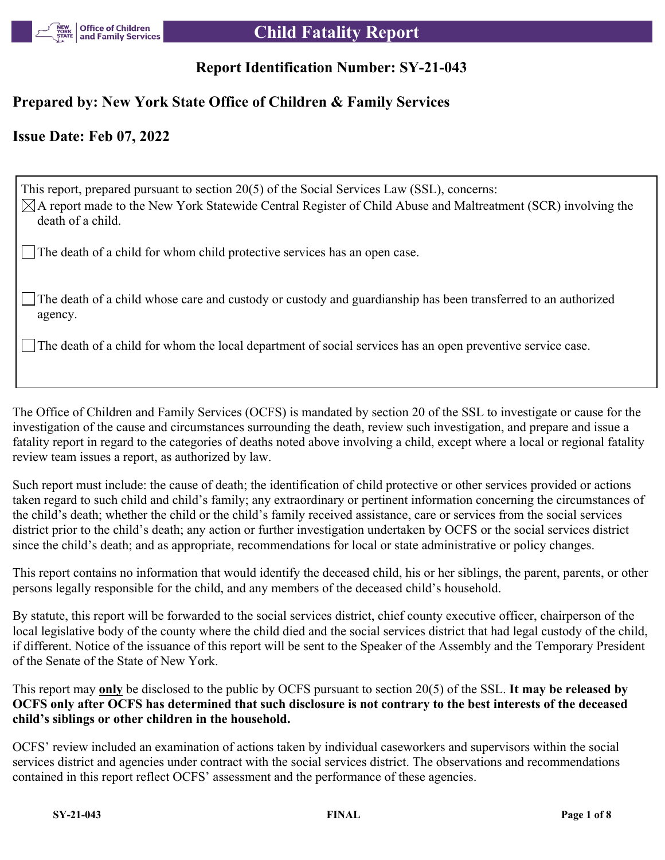

# **Report Identification Number: SY-21-043**

## **Prepared by: New York State Office of Children & Family Services**

## **Issue Date: Feb 07, 2022**

This report, prepared pursuant to section 20(5) of the Social Services Law (SSL), concerns:  $\boxtimes$ A report made to the New York Statewide Central Register of Child Abuse and Maltreatment (SCR) involving the death of a child. The death of a child for whom child protective services has an open case.

The death of a child whose care and custody or custody and guardianship has been transferred to an authorized agency.

The death of a child for whom the local department of social services has an open preventive service case.

The Office of Children and Family Services (OCFS) is mandated by section 20 of the SSL to investigate or cause for the investigation of the cause and circumstances surrounding the death, review such investigation, and prepare and issue a fatality report in regard to the categories of deaths noted above involving a child, except where a local or regional fatality review team issues a report, as authorized by law.

Such report must include: the cause of death; the identification of child protective or other services provided or actions taken regard to such child and child's family; any extraordinary or pertinent information concerning the circumstances of the child's death; whether the child or the child's family received assistance, care or services from the social services district prior to the child's death; any action or further investigation undertaken by OCFS or the social services district since the child's death; and as appropriate, recommendations for local or state administrative or policy changes.

This report contains no information that would identify the deceased child, his or her siblings, the parent, parents, or other persons legally responsible for the child, and any members of the deceased child's household.

By statute, this report will be forwarded to the social services district, chief county executive officer, chairperson of the local legislative body of the county where the child died and the social services district that had legal custody of the child, if different. Notice of the issuance of this report will be sent to the Speaker of the Assembly and the Temporary President of the Senate of the State of New York.

This report may **only** be disclosed to the public by OCFS pursuant to section 20(5) of the SSL. **It may be released by OCFS only after OCFS has determined that such disclosure is not contrary to the best interests of the deceased child's siblings or other children in the household.**

OCFS' review included an examination of actions taken by individual caseworkers and supervisors within the social services district and agencies under contract with the social services district. The observations and recommendations contained in this report reflect OCFS' assessment and the performance of these agencies.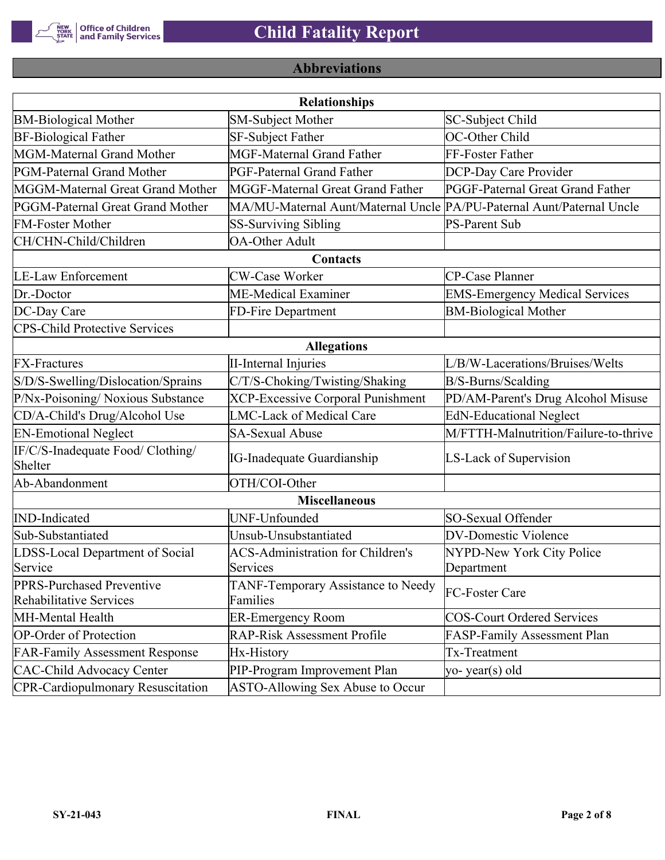

# **Abbreviations**

| <b>Relationships</b>                                 |                                                                       |                                       |  |  |
|------------------------------------------------------|-----------------------------------------------------------------------|---------------------------------------|--|--|
| <b>BM-Biological Mother</b>                          | <b>SM-Subject Mother</b>                                              | SC-Subject Child                      |  |  |
| <b>BF-Biological Father</b>                          | <b>SF-Subject Father</b>                                              | OC-Other Child                        |  |  |
| MGM-Maternal Grand Mother                            | <b>MGF-Maternal Grand Father</b>                                      | FF-Foster Father                      |  |  |
| PGM-Paternal Grand Mother                            | PGF-Paternal Grand Father                                             | DCP-Day Care Provider                 |  |  |
| MGGM-Maternal Great Grand Mother                     | MGGF-Maternal Great Grand Father                                      | PGGF-Paternal Great Grand Father      |  |  |
| PGGM-Paternal Great Grand Mother                     | MA/MU-Maternal Aunt/Maternal Uncle PA/PU-Paternal Aunt/Paternal Uncle |                                       |  |  |
| <b>FM-Foster Mother</b>                              | <b>SS-Surviving Sibling</b>                                           | <b>PS-Parent Sub</b>                  |  |  |
| CH/CHN-Child/Children                                | <b>OA-Other Adult</b>                                                 |                                       |  |  |
|                                                      | Contacts                                                              |                                       |  |  |
| <b>LE-Law Enforcement</b>                            | <b>CW-Case Worker</b>                                                 | CP-Case Planner                       |  |  |
| Dr.-Doctor                                           | ME-Medical Examiner                                                   | <b>EMS-Emergency Medical Services</b> |  |  |
| DC-Day Care                                          | FD-Fire Department                                                    | <b>BM-Biological Mother</b>           |  |  |
| <b>CPS-Child Protective Services</b>                 |                                                                       |                                       |  |  |
|                                                      | <b>Allegations</b>                                                    |                                       |  |  |
| <b>FX-Fractures</b>                                  | <b>II-Internal Injuries</b>                                           | L/B/W-Lacerations/Bruises/Welts       |  |  |
| S/D/S-Swelling/Dislocation/Sprains                   | C/T/S-Choking/Twisting/Shaking                                        | B/S-Burns/Scalding                    |  |  |
| P/Nx-Poisoning/ Noxious Substance                    | <b>XCP-Excessive Corporal Punishment</b>                              | PD/AM-Parent's Drug Alcohol Misuse    |  |  |
| CD/A-Child's Drug/Alcohol Use                        | <b>LMC-Lack of Medical Care</b>                                       | <b>EdN-Educational Neglect</b>        |  |  |
| <b>EN-Emotional Neglect</b>                          | <b>SA-Sexual Abuse</b>                                                | M/FTTH-Malnutrition/Failure-to-thrive |  |  |
| IF/C/S-Inadequate Food/ Clothing/<br>Shelter         | <b>IG-Inadequate Guardianship</b>                                     | LS-Lack of Supervision                |  |  |
| Ab-Abandonment                                       | OTH/COI-Other                                                         |                                       |  |  |
|                                                      | <b>Miscellaneous</b>                                                  |                                       |  |  |
| <b>IND-Indicated</b>                                 | UNF-Unfounded                                                         | SO-Sexual Offender                    |  |  |
| Sub-Substantiated                                    | Unsub-Unsubstantiated                                                 | <b>DV-Domestic Violence</b>           |  |  |
| LDSS-Local Department of Social                      | <b>ACS-Administration for Children's</b>                              | NYPD-New York City Police             |  |  |
| Service                                              | Services                                                              | Department                            |  |  |
| PPRS-Purchased Preventive<br>Rehabilitative Services | TANF-Temporary Assistance to Needy<br>Families                        | FC-Foster Care                        |  |  |
| MH-Mental Health                                     | <b>ER-Emergency Room</b>                                              | <b>COS-Court Ordered Services</b>     |  |  |
| <b>OP-Order of Protection</b>                        | <b>RAP-Risk Assessment Profile</b>                                    | FASP-Family Assessment Plan           |  |  |
| <b>FAR-Family Assessment Response</b>                | Hx-History                                                            | Tx-Treatment                          |  |  |
| <b>CAC-Child Advocacy Center</b>                     | PIP-Program Improvement Plan                                          | yo-year(s) old                        |  |  |
| <b>CPR-Cardiopulmonary Resuscitation</b>             | ASTO-Allowing Sex Abuse to Occur                                      |                                       |  |  |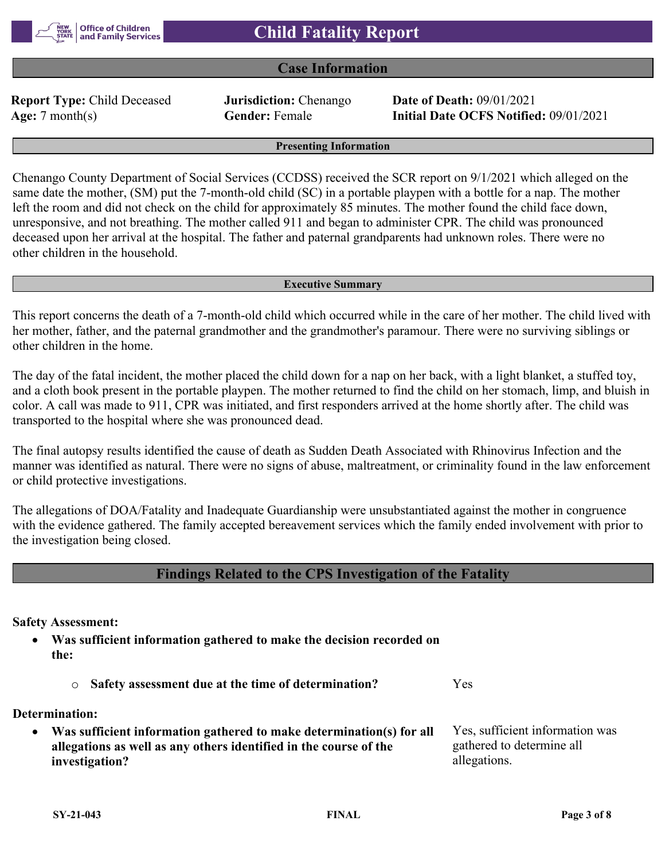### **Case Information**

**Report Type:** Child Deceased **Jurisdiction:** Chenango **Date of Death:** 09/01/2021

**Age:** 7 month(s) **Gender:** Female **Initial Date OCFS Notified:** 09/01/2021

**Presenting Information**

Chenango County Department of Social Services (CCDSS) received the SCR report on 9/1/2021 which alleged on the same date the mother, (SM) put the 7-month-old child (SC) in a portable playpen with a bottle for a nap. The mother left the room and did not check on the child for approximately 85 minutes. The mother found the child face down, unresponsive, and not breathing. The mother called 911 and began to administer CPR. The child was pronounced deceased upon her arrival at the hospital. The father and paternal grandparents had unknown roles. There were no other children in the household.

#### **Executive Summary**

This report concerns the death of a 7-month-old child which occurred while in the care of her mother. The child lived with her mother, father, and the paternal grandmother and the grandmother's paramour. There were no surviving siblings or other children in the home.

The day of the fatal incident, the mother placed the child down for a nap on her back, with a light blanket, a stuffed toy, and a cloth book present in the portable playpen. The mother returned to find the child on her stomach, limp, and bluish in color. A call was made to 911, CPR was initiated, and first responders arrived at the home shortly after. The child was transported to the hospital where she was pronounced dead.

The final autopsy results identified the cause of death as Sudden Death Associated with Rhinovirus Infection and the manner was identified as natural. There were no signs of abuse, maltreatment, or criminality found in the law enforcement or child protective investigations.

The allegations of DOA/Fatality and Inadequate Guardianship were unsubstantiated against the mother in congruence with the evidence gathered. The family accepted bereavement services which the family ended involvement with prior to the investigation being closed.

### **Findings Related to the CPS Investigation of the Fatality**

**Safety Assessment:**

 **Was sufficient information gathered to make the decision recorded on the:**

o **Safety assessment due at the time of determination?** Yes

**Determination:**

 **Was sufficient information gathered to make determination(s) for all allegations as well as any others identified in the course of the investigation?** Yes, sufficient information was gathered to determine all allegations.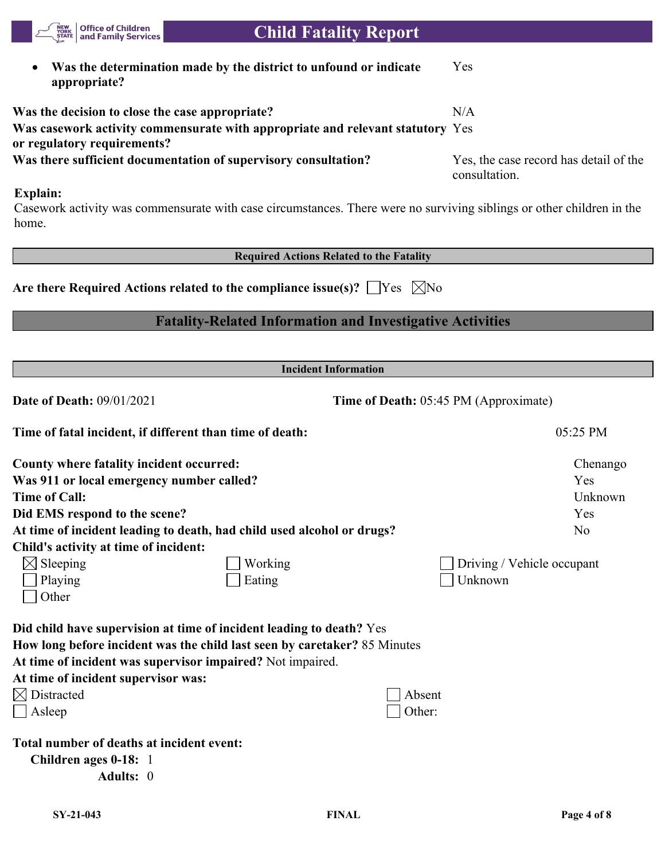

| <b>County where fatality incident occurred:</b> |                                                                        | Chenango                          |
|-------------------------------------------------|------------------------------------------------------------------------|-----------------------------------|
| Was 911 or local emergency number called?       |                                                                        | Yes                               |
| <b>Time of Call:</b>                            |                                                                        | Unknown                           |
| Did EMS respond to the scene?                   |                                                                        | Yes                               |
|                                                 | At time of incident leading to death, had child used alcohol or drugs? | No                                |
| Child's activity at time of incident:           |                                                                        |                                   |
| $\boxtimes$ Sleeping                            | Working                                                                | $\Box$ Driving / Vehicle occupant |

| $\Box$ Playing | $\Box$ Eating | $\Box$ Unknown |
|----------------|---------------|----------------|
| $\Box$ Other   |               |                |

**How long before incident was the child last seen by caretaker?** 85 Minutes

**At time of incident was supervisor impaired?** Not impaired.

| At time of incident supervisor was: |               |
|-------------------------------------|---------------|
| $\boxtimes$ Distracted              | $\Box$ Absent |

| $\sqrt{2}$ Distracted | $\Box$ $\Delta$ USUIII |
|-----------------------|------------------------|
| $\Box$ Asleep         | Other:                 |

| Absent |
|--------|
| ∩ther∙ |

**Total number of deaths at incident event:**

| Children ages 0-18: 1 |  |
|-----------------------|--|
| <b>Adults:</b> 0      |  |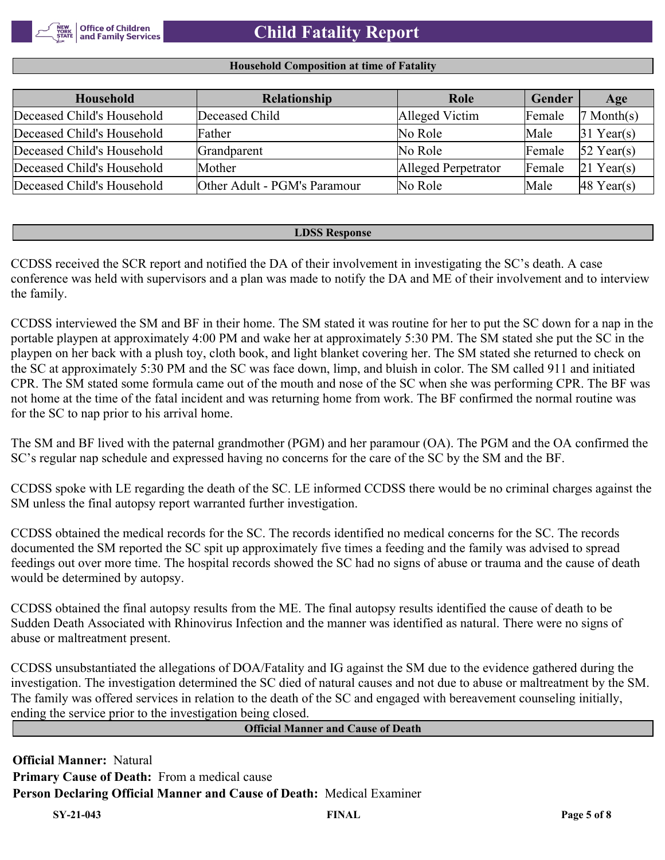#### **Household Composition at time of Fatality**

| Household                  | Relationship                 | Role                | <b>Gender</b> | Age                    |
|----------------------------|------------------------------|---------------------|---------------|------------------------|
| Deceased Child's Household | Deceased Child               | Alleged Victim      | Female        | Month(s)               |
| Deceased Child's Household | Father                       | No Role             | Male          | $31$ Year(s)           |
| Deceased Child's Household | Grandparent                  | No Role             | Female        | $52$ Year(s)           |
| Deceased Child's Household | Mother                       | Alleged Perpetrator | Female        | $21$ Year(s)           |
| Deceased Child's Household | Other Adult - PGM's Paramour | No Role             | Male          | $ 48 \text{ Year}(s) $ |

#### **LDSS Response**

CCDSS received the SCR report and notified the DA of their involvement in investigating the SC's death. A case conference was held with supervisors and a plan was made to notify the DA and ME of their involvement and to interview the family.

CCDSS interviewed the SM and BF in their home. The SM stated it was routine for her to put the SC down for a nap in the portable playpen at approximately 4:00 PM and wake her at approximately 5:30 PM. The SM stated she put the SC in the playpen on her back with a plush toy, cloth book, and light blanket covering her. The SM stated she returned to check on the SC at approximately 5:30 PM and the SC was face down, limp, and bluish in color. The SM called 911 and initiated CPR. The SM stated some formula came out of the mouth and nose of the SC when she was performing CPR. The BF was not home at the time of the fatal incident and was returning home from work. The BF confirmed the normal routine was for the SC to nap prior to his arrival home.

The SM and BF lived with the paternal grandmother (PGM) and her paramour (OA). The PGM and the OA confirmed the SC's regular nap schedule and expressed having no concerns for the care of the SC by the SM and the BF.

CCDSS spoke with LE regarding the death of the SC. LE informed CCDSS there would be no criminal charges against the SM unless the final autopsy report warranted further investigation.

CCDSS obtained the medical records for the SC. The records identified no medical concerns for the SC. The records documented the SM reported the SC spit up approximately five times a feeding and the family was advised to spread feedings out over more time. The hospital records showed the SC had no signs of abuse or trauma and the cause of death would be determined by autopsy.

CCDSS obtained the final autopsy results from the ME. The final autopsy results identified the cause of death to be Sudden Death Associated with Rhinovirus Infection and the manner was identified as natural. There were no signs of abuse or maltreatment present.

CCDSS unsubstantiated the allegations of DOA/Fatality and IG against the SM due to the evidence gathered during the investigation. The investigation determined the SC died of natural causes and not due to abuse or maltreatment by the SM. The family was offered services in relation to the death of the SC and engaged with bereavement counseling initially, ending the service prior to the investigation being closed.

**Official Manner and Cause of Death**

**Official Manner:** Natural **Primary Cause of Death:** From a medical cause **Person Declaring Official Manner and Cause of Death:** Medical Examiner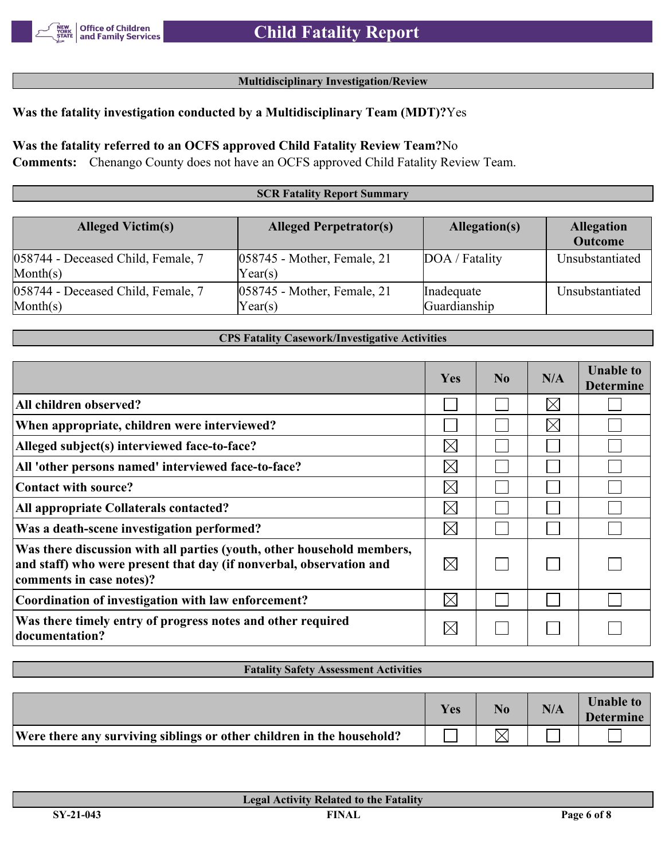#### **Multidisciplinary Investigation/Review**

## **Was the fatality investigation conducted by a Multidisciplinary Team (MDT)?**Yes

### **Was the fatality referred to an OCFS approved Child Fatality Review Team?**No

**Comments:** Chenango County does not have an OCFS approved Child Fatality Review Team.

#### **SCR Fatality Report Summary**

| <b>Alleged Victim(s)</b>                                | <b>Alleged Perpetrator(s)</b>             | Allegation(s)              | <b>Allegation</b><br><b>Outcome</b> |
|---------------------------------------------------------|-------------------------------------------|----------------------------|-------------------------------------|
| 058744 - Deceased Child, Female, 7<br>$\text{Month}(s)$ | $ 058745$ - Mother, Female, 21<br>Year(s) | DOA / Fatality             | Unsubstantiated                     |
| 058744 - Deceased Child, Female, 7<br>$\text{Month}(s)$ | $ 058745$ - Mother, Female, 21<br>Year(s) | Inadequate<br>Guardianship | Unsubstantiated                     |

#### **CPS Fatality Casework/Investigative Activities**

|                                                                                                                                                                           | <b>Yes</b>  | $\bf No$ | N/A         | <b>Unable to</b><br><b>Determine</b> |
|---------------------------------------------------------------------------------------------------------------------------------------------------------------------------|-------------|----------|-------------|--------------------------------------|
| All children observed?                                                                                                                                                    |             |          | $\boxtimes$ |                                      |
| When appropriate, children were interviewed?                                                                                                                              |             |          | $\boxtimes$ |                                      |
| Alleged subject(s) interviewed face-to-face?                                                                                                                              | $\boxtimes$ |          |             |                                      |
| All 'other persons named' interviewed face-to-face?                                                                                                                       | $\boxtimes$ |          |             |                                      |
| Contact with source?                                                                                                                                                      | $\times$    |          |             |                                      |
| All appropriate Collaterals contacted?                                                                                                                                    | $\boxtimes$ |          |             |                                      |
| Was a death-scene investigation performed?                                                                                                                                | $\boxtimes$ |          |             |                                      |
| Was there discussion with all parties (youth, other household members,<br>and staff) who were present that day (if nonverbal, observation and<br>comments in case notes)? | $\boxtimes$ |          |             |                                      |
| Coordination of investigation with law enforcement?                                                                                                                       | $\boxtimes$ |          |             |                                      |
| Was there timely entry of progress notes and other required<br>documentation?                                                                                             | $\boxtimes$ |          |             |                                      |

#### **Fatality Safety Assessment Activities**

|                                                                       | Yes | N <sub>0</sub> | N/A | <b>Unable to</b><br><b>Determine</b> |
|-----------------------------------------------------------------------|-----|----------------|-----|--------------------------------------|
| Were there any surviving siblings or other children in the household? |     |                |     |                                      |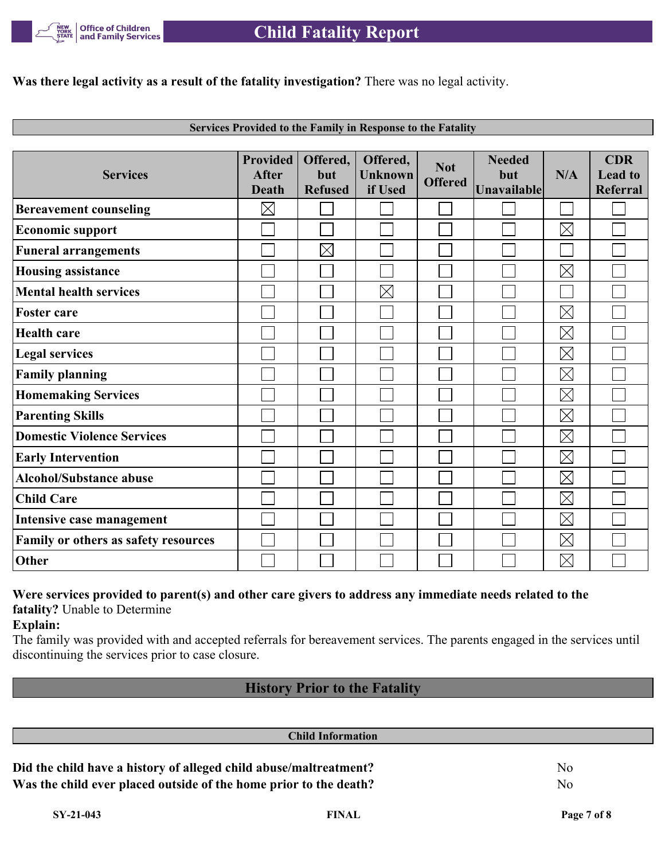

**Was there legal activity as a result of the fatality investigation?** There was no legal activity.

| <b>Services Provided to the Family in Response to the Fatality</b> |  |
|--------------------------------------------------------------------|--|

| <b>Services</b>                      | <b>Provided</b><br><b>After</b><br><b>Death</b> | Offered,<br>but<br><b>Refused</b> | Offered,<br><b>Unknown</b><br>if Used | <b>Not</b><br><b>Offered</b> | <b>Needed</b><br>but<br>Unavailable | N/A         | <b>CDR</b><br><b>Lead to</b><br><b>Referral</b> |
|--------------------------------------|-------------------------------------------------|-----------------------------------|---------------------------------------|------------------------------|-------------------------------------|-------------|-------------------------------------------------|
| <b>Bereavement counseling</b>        | $\boxtimes$                                     |                                   |                                       |                              |                                     |             |                                                 |
| <b>Economic support</b>              |                                                 |                                   |                                       |                              |                                     | $\boxtimes$ |                                                 |
| <b>Funeral arrangements</b>          |                                                 | $\boxtimes$                       |                                       |                              |                                     |             |                                                 |
| <b>Housing assistance</b>            |                                                 |                                   |                                       |                              |                                     | $\boxtimes$ |                                                 |
| <b>Mental health services</b>        |                                                 |                                   | $\boxtimes$                           |                              |                                     |             |                                                 |
| <b>Foster care</b>                   |                                                 |                                   |                                       |                              |                                     | $\boxtimes$ |                                                 |
| <b>Health care</b>                   |                                                 |                                   |                                       |                              |                                     | $\boxtimes$ |                                                 |
| <b>Legal services</b>                |                                                 |                                   |                                       |                              |                                     | $\boxtimes$ |                                                 |
| <b>Family planning</b>               |                                                 |                                   |                                       |                              |                                     | $\boxtimes$ |                                                 |
| <b>Homemaking Services</b>           |                                                 |                                   |                                       |                              |                                     | $\boxtimes$ |                                                 |
| <b>Parenting Skills</b>              |                                                 |                                   |                                       |                              |                                     | $\boxtimes$ |                                                 |
| <b>Domestic Violence Services</b>    |                                                 |                                   |                                       |                              |                                     | $\boxtimes$ |                                                 |
| <b>Early Intervention</b>            |                                                 |                                   |                                       |                              |                                     | $\boxtimes$ |                                                 |
| <b>Alcohol/Substance abuse</b>       |                                                 |                                   |                                       |                              |                                     | $\boxtimes$ |                                                 |
| <b>Child Care</b>                    |                                                 |                                   |                                       |                              |                                     | $\boxtimes$ |                                                 |
| Intensive case management            |                                                 |                                   |                                       |                              |                                     | $\boxtimes$ |                                                 |
| Family or others as safety resources |                                                 |                                   |                                       |                              |                                     | $\boxtimes$ |                                                 |
| Other                                |                                                 |                                   |                                       |                              |                                     | $\boxtimes$ |                                                 |

### **Were services provided to parent(s) and other care givers to address any immediate needs related to the fatality?** Unable to Determine

**Explain:**

The family was provided with and accepted referrals for bereavement services. The parents engaged in the services until discontinuing the services prior to case closure.

# **History Prior to the Fatality**

| <b>Child Information</b>                                          |                |
|-------------------------------------------------------------------|----------------|
| Did the child have a history of alleged child abuse/maltreatment? | N <sub>0</sub> |
| Was the child ever placed outside of the home prior to the death? | No.            |